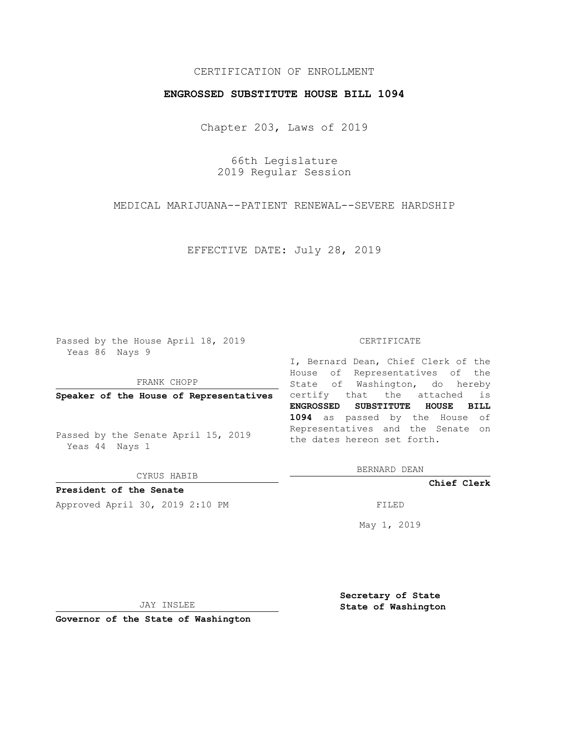## CERTIFICATION OF ENROLLMENT

## **ENGROSSED SUBSTITUTE HOUSE BILL 1094**

Chapter 203, Laws of 2019

66th Legislature 2019 Regular Session

MEDICAL MARIJUANA--PATIENT RENEWAL--SEVERE HARDSHIP

EFFECTIVE DATE: July 28, 2019

Passed by the House April 18, 2019 Yeas 86 Nays 9

FRANK CHOPP

Passed by the Senate April 15, 2019 Yeas 44 Nays 1

CYRUS HABIB

**President of the Senate**

Approved April 30, 2019 2:10 PM FILED

#### CERTIFICATE

**Speaker of the House of Representatives** certify that the attached is I, Bernard Dean, Chief Clerk of the House of Representatives of the State of Washington, do hereby **ENGROSSED SUBSTITUTE HOUSE BILL 1094** as passed by the House of Representatives and the Senate on the dates hereon set forth.

BERNARD DEAN

**Chief Clerk**

May 1, 2019

JAY INSLEE

**Governor of the State of Washington**

**Secretary of State State of Washington**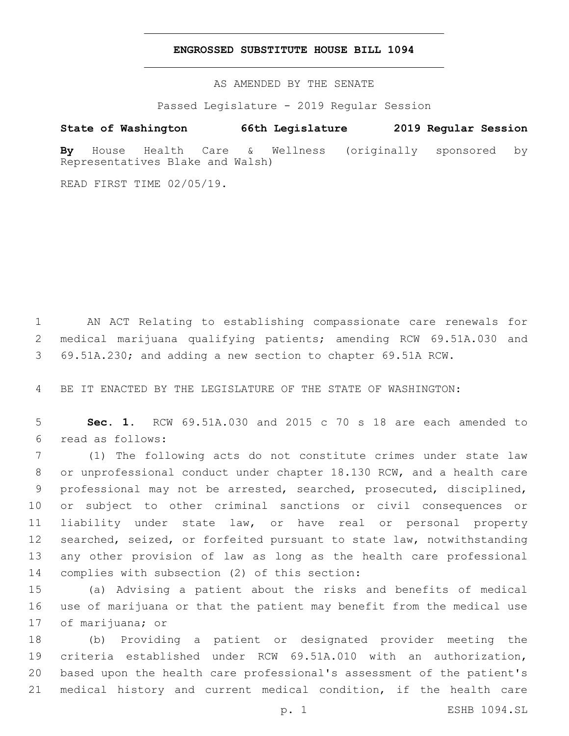### **ENGROSSED SUBSTITUTE HOUSE BILL 1094**

AS AMENDED BY THE SENATE

Passed Legislature - 2019 Regular Session

# **State of Washington 66th Legislature 2019 Regular Session**

**By** House Health Care & Wellness (originally sponsored by Representatives Blake and Walsh)

READ FIRST TIME 02/05/19.

 AN ACT Relating to establishing compassionate care renewals for medical marijuana qualifying patients; amending RCW 69.51A.030 and 69.51A.230; and adding a new section to chapter 69.51A RCW.

BE IT ENACTED BY THE LEGISLATURE OF THE STATE OF WASHINGTON:

 **Sec. 1.** RCW 69.51A.030 and 2015 c 70 s 18 are each amended to read as follows:6

 (1) The following acts do not constitute crimes under state law or unprofessional conduct under chapter 18.130 RCW, and a health care professional may not be arrested, searched, prosecuted, disciplined, or subject to other criminal sanctions or civil consequences or liability under state law, or have real or personal property searched, seized, or forfeited pursuant to state law, notwithstanding any other provision of law as long as the health care professional 14 complies with subsection (2) of this section:

 (a) Advising a patient about the risks and benefits of medical use of marijuana or that the patient may benefit from the medical use 17 of marijuana; or

 (b) Providing a patient or designated provider meeting the criteria established under RCW 69.51A.010 with an authorization, based upon the health care professional's assessment of the patient's medical history and current medical condition, if the health care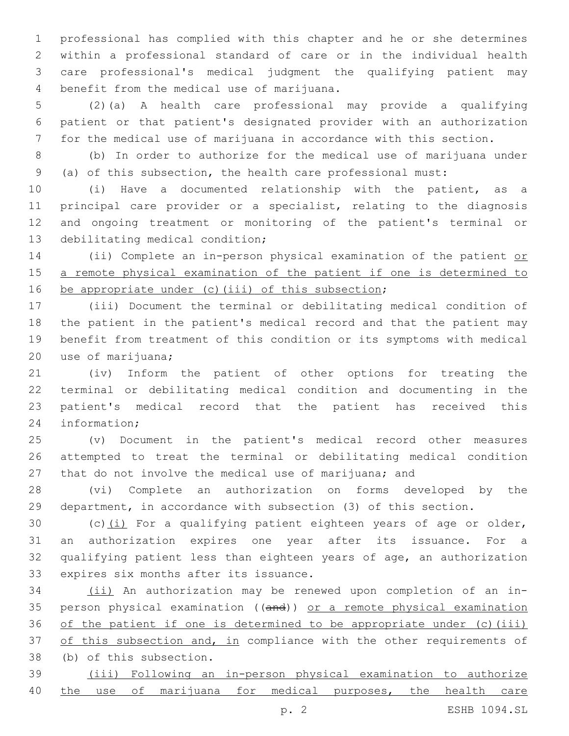professional has complied with this chapter and he or she determines within a professional standard of care or in the individual health care professional's medical judgment the qualifying patient may 4 benefit from the medical use of marijuana.

 (2)(a) A health care professional may provide a qualifying patient or that patient's designated provider with an authorization for the medical use of marijuana in accordance with this section.

 (b) In order to authorize for the medical use of marijuana under (a) of this subsection, the health care professional must:

 (i) Have a documented relationship with the patient, as a principal care provider or a specialist, relating to the diagnosis and ongoing treatment or monitoring of the patient's terminal or 13 debilitating medical condition;

14 (ii) Complete an in-person physical examination of the patient or a remote physical examination of the patient if one is determined to 16 be appropriate under (c)(iii) of this subsection;

 (iii) Document the terminal or debilitating medical condition of the patient in the patient's medical record and that the patient may benefit from treatment of this condition or its symptoms with medical 20 use of marijuana;

 (iv) Inform the patient of other options for treating the terminal or debilitating medical condition and documenting in the patient's medical record that the patient has received this 24 information;

 (v) Document in the patient's medical record other measures attempted to treat the terminal or debilitating medical condition 27 that do not involve the medical use of marijuana; and

 (vi) Complete an authorization on forms developed by the department, in accordance with subsection (3) of this section.

30 (c) $(i)$  For a qualifying patient eighteen years of age or older, an authorization expires one year after its issuance. For a qualifying patient less than eighteen years of age, an authorization 33 expires six months after its issuance.

 (ii) An authorization may be renewed upon completion of an in- person physical examination ((and)) or a remote physical examination 36 of the patient if one is determined to be appropriate under (c)(iii) 37 of this subsection and, in compliance with the other requirements of 38 (b) of this subsection.

 (iii) Following an in-person physical examination to authorize the use of marijuana for medical purposes, the health care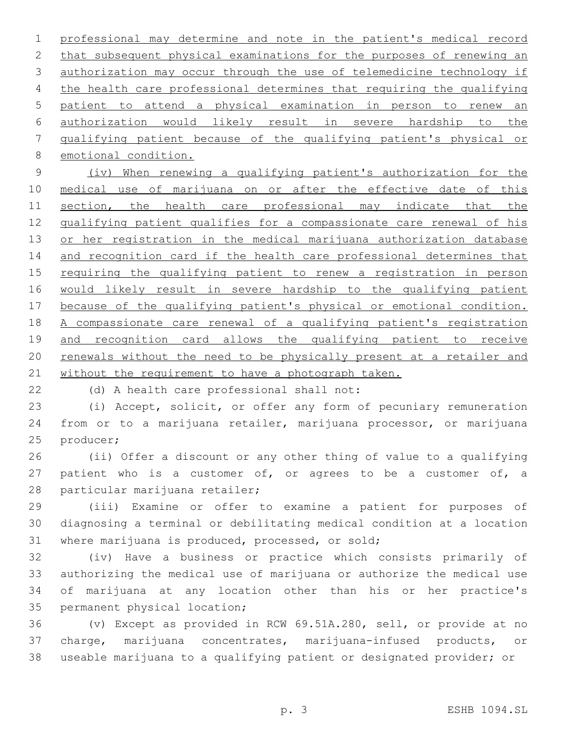professional may determine and note in the patient's medical record 2 that subsequent physical examinations for the purposes of renewing an authorization may occur through the use of telemedicine technology if the health care professional determines that requiring the qualifying patient to attend a physical examination in person to renew an authorization would likely result in severe hardship to the qualifying patient because of the qualifying patient's physical or 8 emotional condition.

 (iv) When renewing a qualifying patient's authorization for the 10 medical use of marijuana on or after the effective date of this 11 section, the health care professional may indicate that the 12 qualifying patient qualifies for a compassionate care renewal of his 13 or her registration in the medical marijuana authorization database and recognition card if the health care professional determines that 15 requiring the qualifying patient to renew a registration in person would likely result in severe hardship to the qualifying patient because of the qualifying patient's physical or emotional condition. A compassionate care renewal of a qualifying patient's registration and recognition card allows the qualifying patient to receive 20 renewals without the need to be physically present at a retailer and 21 without the requirement to have a photograph taken.

22 (d) A health care professional shall not:

 (i) Accept, solicit, or offer any form of pecuniary remuneration from or to a marijuana retailer, marijuana processor, or marijuana 25 producer;

 (ii) Offer a discount or any other thing of value to a qualifying patient who is a customer of, or agrees to be a customer of, a 28 particular marijuana retailer;

 (iii) Examine or offer to examine a patient for purposes of diagnosing a terminal or debilitating medical condition at a location 31 where marijuana is produced, processed, or sold;

 (iv) Have a business or practice which consists primarily of authorizing the medical use of marijuana or authorize the medical use of marijuana at any location other than his or her practice's 35 permanent physical location;

 (v) Except as provided in RCW 69.51A.280, sell, or provide at no charge, marijuana concentrates, marijuana-infused products, or useable marijuana to a qualifying patient or designated provider; or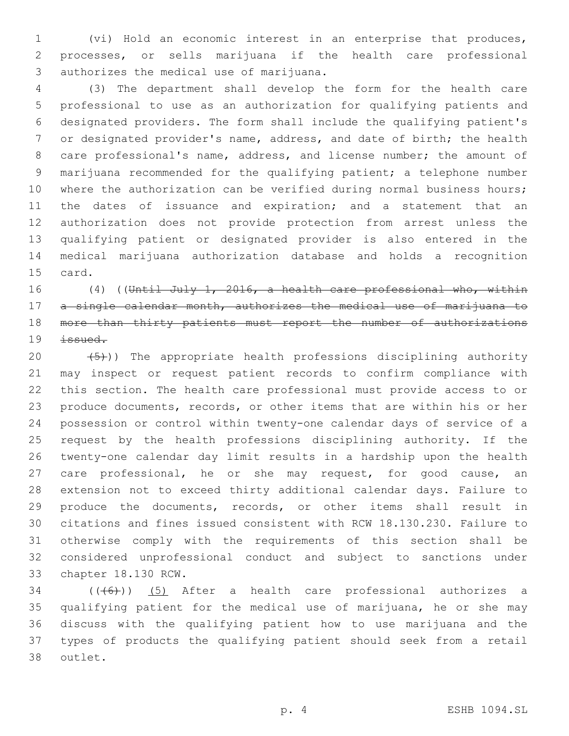(vi) Hold an economic interest in an enterprise that produces, processes, or sells marijuana if the health care professional 3 authorizes the medical use of marijuana.

 (3) The department shall develop the form for the health care professional to use as an authorization for qualifying patients and designated providers. The form shall include the qualifying patient's or designated provider's name, address, and date of birth; the health care professional's name, address, and license number; the amount of marijuana recommended for the qualifying patient; a telephone number 10 where the authorization can be verified during normal business hours; the dates of issuance and expiration; and a statement that an authorization does not provide protection from arrest unless the qualifying patient or designated provider is also entered in the medical marijuana authorization database and holds a recognition 15 card.

16 (4) ((Until July 1, 2016, a health care professional who, within 17 a single calendar month, authorizes the medical use of marijuana to 18 more than thirty patients must report the number of authorizations issued.

 $(5)$ )) The appropriate health professions disciplining authority may inspect or request patient records to confirm compliance with this section. The health care professional must provide access to or produce documents, records, or other items that are within his or her possession or control within twenty-one calendar days of service of a request by the health professions disciplining authority. If the twenty-one calendar day limit results in a hardship upon the health 27 care professional, he or she may request, for good cause, an extension not to exceed thirty additional calendar days. Failure to produce the documents, records, or other items shall result in citations and fines issued consistent with RCW 18.130.230. Failure to otherwise comply with the requirements of this section shall be considered unprofessional conduct and subject to sanctions under 33 chapter 18.130 RCW.

 (( $(46)$ )) (5) After a health care professional authorizes a qualifying patient for the medical use of marijuana, he or she may discuss with the qualifying patient how to use marijuana and the types of products the qualifying patient should seek from a retail 38 outlet.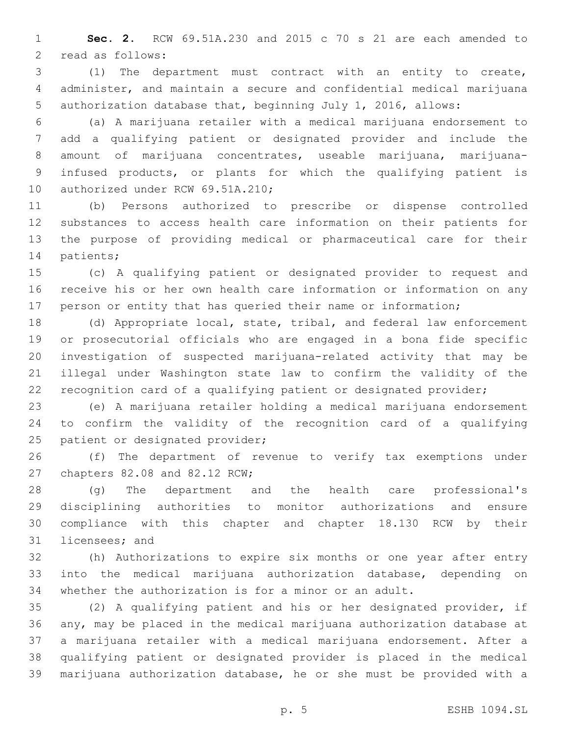**Sec. 2.** RCW 69.51A.230 and 2015 c 70 s 21 are each amended to 2 read as follows:

 (1) The department must contract with an entity to create, administer, and maintain a secure and confidential medical marijuana authorization database that, beginning July 1, 2016, allows:

 (a) A marijuana retailer with a medical marijuana endorsement to add a qualifying patient or designated provider and include the 8 amount of marijuana concentrates, useable marijuana, marijuana- infused products, or plants for which the qualifying patient is 10 authorized under RCW 69.51A.210;

 (b) Persons authorized to prescribe or dispense controlled substances to access health care information on their patients for the purpose of providing medical or pharmaceutical care for their 14 patients;

 (c) A qualifying patient or designated provider to request and receive his or her own health care information or information on any person or entity that has queried their name or information;

 (d) Appropriate local, state, tribal, and federal law enforcement or prosecutorial officials who are engaged in a bona fide specific investigation of suspected marijuana-related activity that may be illegal under Washington state law to confirm the validity of the recognition card of a qualifying patient or designated provider;

 (e) A marijuana retailer holding a medical marijuana endorsement to confirm the validity of the recognition card of a qualifying 25 patient or designated provider;

 (f) The department of revenue to verify tax exemptions under 27 chapters 82.08 and 82.12 RCW;

 (g) The department and the health care professional's disciplining authorities to monitor authorizations and ensure compliance with this chapter and chapter 18.130 RCW by their 31 licensees; and

 (h) Authorizations to expire six months or one year after entry into the medical marijuana authorization database, depending on whether the authorization is for a minor or an adult.

 (2) A qualifying patient and his or her designated provider, if any, may be placed in the medical marijuana authorization database at a marijuana retailer with a medical marijuana endorsement. After a qualifying patient or designated provider is placed in the medical marijuana authorization database, he or she must be provided with a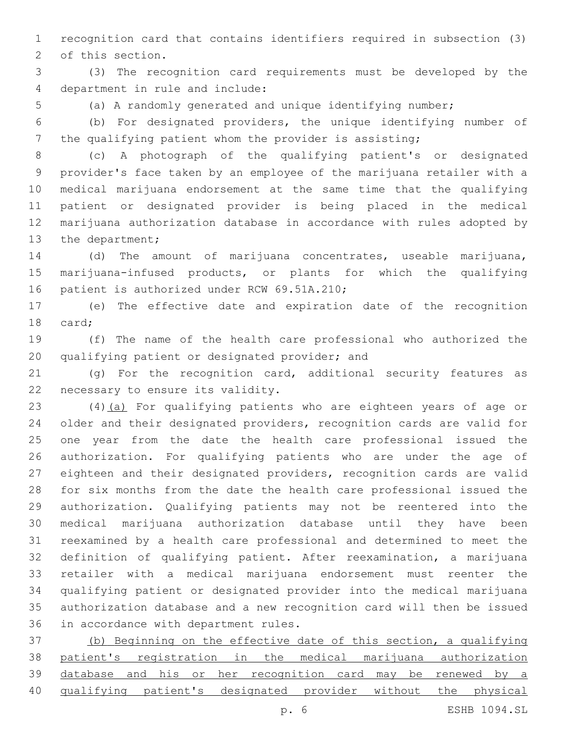recognition card that contains identifiers required in subsection (3) 2 of this section.

 (3) The recognition card requirements must be developed by the 4 department in rule and include:

(a) A randomly generated and unique identifying number;

 (b) For designated providers, the unique identifying number of the qualifying patient whom the provider is assisting;

 (c) A photograph of the qualifying patient's or designated provider's face taken by an employee of the marijuana retailer with a medical marijuana endorsement at the same time that the qualifying patient or designated provider is being placed in the medical marijuana authorization database in accordance with rules adopted by 13 the department;

 (d) The amount of marijuana concentrates, useable marijuana, marijuana-infused products, or plants for which the qualifying 16 patient is authorized under RCW 69.51A.210;

 (e) The effective date and expiration date of the recognition 18 card;

 (f) The name of the health care professional who authorized the 20 qualifying patient or designated provider; and

 (g) For the recognition card, additional security features as 22 necessary to ensure its validity.

 (4)(a) For qualifying patients who are eighteen years of age or older and their designated providers, recognition cards are valid for one year from the date the health care professional issued the authorization. For qualifying patients who are under the age of eighteen and their designated providers, recognition cards are valid for six months from the date the health care professional issued the authorization. Qualifying patients may not be reentered into the medical marijuana authorization database until they have been reexamined by a health care professional and determined to meet the definition of qualifying patient. After reexamination, a marijuana retailer with a medical marijuana endorsement must reenter the qualifying patient or designated provider into the medical marijuana authorization database and a new recognition card will then be issued 36 in accordance with department rules.

 (b) Beginning on the effective date of this section, a qualifying patient's registration in the medical marijuana authorization database and his or her recognition card may be renewed by a qualifying patient's designated provider without the physical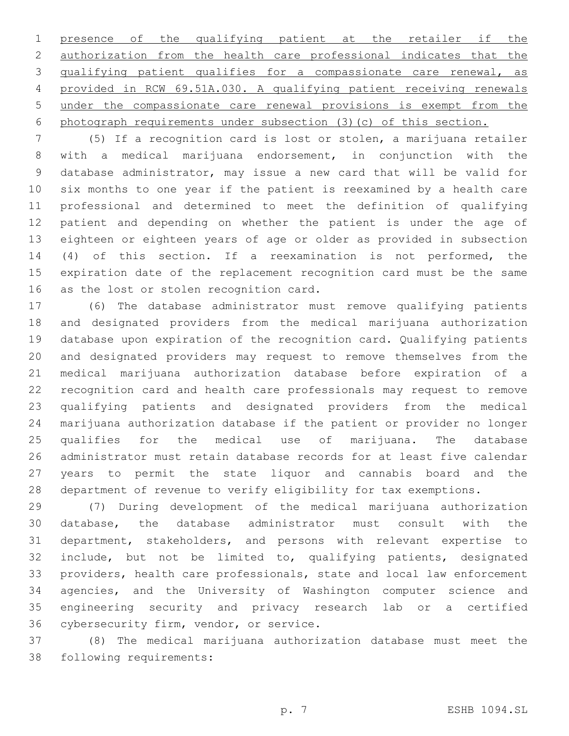presence of the qualifying patient at the retailer if the authorization from the health care professional indicates that the qualifying patient qualifies for a compassionate care renewal, as provided in RCW 69.51A.030. A qualifying patient receiving renewals under the compassionate care renewal provisions is exempt from the photograph requirements under subsection (3)(c) of this section.

 (5) If a recognition card is lost or stolen, a marijuana retailer with a medical marijuana endorsement, in conjunction with the database administrator, may issue a new card that will be valid for six months to one year if the patient is reexamined by a health care professional and determined to meet the definition of qualifying patient and depending on whether the patient is under the age of eighteen or eighteen years of age or older as provided in subsection (4) of this section. If a reexamination is not performed, the expiration date of the replacement recognition card must be the same 16 as the lost or stolen recognition card.

 (6) The database administrator must remove qualifying patients and designated providers from the medical marijuana authorization database upon expiration of the recognition card. Qualifying patients and designated providers may request to remove themselves from the medical marijuana authorization database before expiration of a recognition card and health care professionals may request to remove qualifying patients and designated providers from the medical marijuana authorization database if the patient or provider no longer qualifies for the medical use of marijuana. The database administrator must retain database records for at least five calendar years to permit the state liquor and cannabis board and the department of revenue to verify eligibility for tax exemptions.

 (7) During development of the medical marijuana authorization database, the database administrator must consult with the department, stakeholders, and persons with relevant expertise to include, but not be limited to, qualifying patients, designated providers, health care professionals, state and local law enforcement agencies, and the University of Washington computer science and engineering security and privacy research lab or a certified 36 cybersecurity firm, vendor, or service.

 (8) The medical marijuana authorization database must meet the 38 following requirements: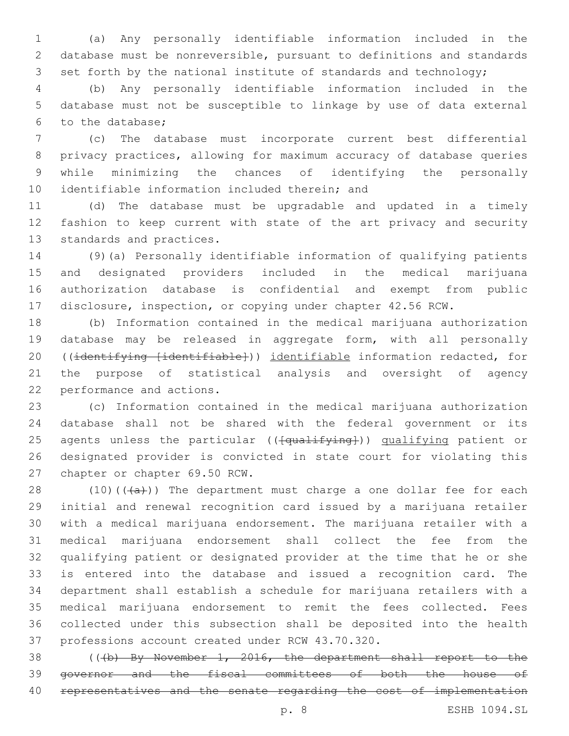(a) Any personally identifiable information included in the database must be nonreversible, pursuant to definitions and standards 3 set forth by the national institute of standards and technology;

 (b) Any personally identifiable information included in the database must not be susceptible to linkage by use of data external 6 to the database;

 (c) The database must incorporate current best differential privacy practices, allowing for maximum accuracy of database queries while minimizing the chances of identifying the personally 10 identifiable information included therein; and

 (d) The database must be upgradable and updated in a timely fashion to keep current with state of the art privacy and security 13 standards and practices.

 (9)(a) Personally identifiable information of qualifying patients and designated providers included in the medical marijuana authorization database is confidential and exempt from public disclosure, inspection, or copying under chapter 42.56 RCW.

 (b) Information contained in the medical marijuana authorization database may be released in aggregate form, with all personally ((identifying [identifiable])) identifiable information redacted, for the purpose of statistical analysis and oversight of agency 22 performance and actions.

 (c) Information contained in the medical marijuana authorization database shall not be shared with the federal government or its 25 agents unless the particular (( $\{\text{qualifying}}$ )) qualifying patient or designated provider is convicted in state court for violating this 27 chapter or chapter 69.50 RCW.

 $(10)((a))$  The department must charge a one dollar fee for each initial and renewal recognition card issued by a marijuana retailer with a medical marijuana endorsement. The marijuana retailer with a medical marijuana endorsement shall collect the fee from the qualifying patient or designated provider at the time that he or she is entered into the database and issued a recognition card. The department shall establish a schedule for marijuana retailers with a medical marijuana endorsement to remit the fees collected. Fees collected under this subsection shall be deposited into the health 37 professions account created under RCW 43.70.320.

 (((b) By November 1, 2016, the department shall report to the governor and the fiscal committees of both the house of 40 representatives and the senate regarding the cost of implementation